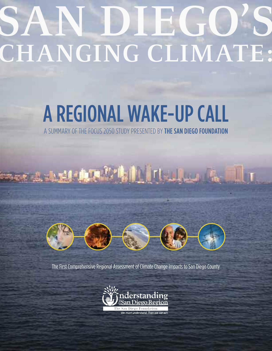# AN. CHANGING CLIMATE:

# A REGIONAL WAKE-UP CALL

A SUMMARY OF THE FOCUS 2050 STUDY PRESENTED BY THE SAN DIEGO FOUNDATION

# 



The First Comprehensive Regional Assessment of Climate Change Impacts to San Diego County

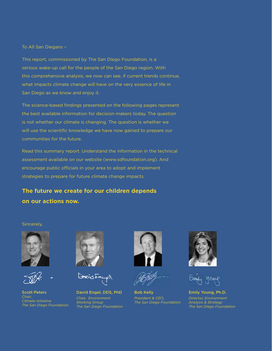To All San Diegans –

This report, commissioned by The San Diego Foundation, is a serious wake-up call for the people of the San Diego region. With this comprehensive analysis, we now can see, if current trends continue, what impacts climate change will have on the very essence of life in San Diego as we know and enjoy it.

The science-based findings presented on the following pages represent the best available information for decision makers today. The question is not whether our climate is changing. The question is whether we will use the scientific knowledge we have now gained to prepare our communities for the future.

Read this summary report. Understand the information in the technical assessment available on our website (www.sdfoundation.org). And encourage public officials in your area to adopt and implement strategies to prepare for future climate change impacts.

**The future we create for our children depends on our actions now.**

Sincerely,



**Scott Peters** *Chair, Climate Initiative The San Diego Foundation*



كتحتين لتحسيبها

**David Engel, DDS, PhD** *Chair, Environment Working Group The San Diego Foundation*





**Bob Kelly** *President & CEO, The San Diego Foundation*



**Emily Young, Ph.D.** *Director, Environment Analysis & Strategy The San Diego Foundation*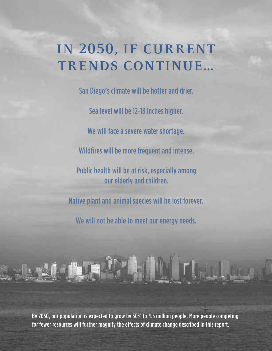## **IN 2050, IF CURRENT TRENDS CONTINUE…**

Sea level will be 12-18 inches higher. San Diego's climate will be hotter and drier. We will face a severe water shortage. Wildfires will be more frequent and intense. Native plant and animal species will be lost forever. Public health will be at risk, especially among our elderly and children.

We will not be able to meet our energy needs.

By 2050, our population is expected to grow by 50% to 4.5 million people. More people competing for fewer resources will further magnify the effects of climate change described in this report.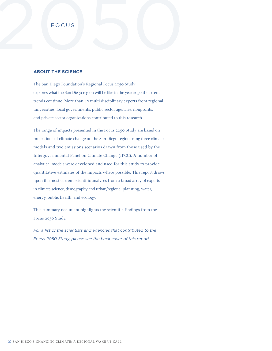# FOCUS **FOCUS**

#### **AB OUT THE SCIENCE**

The San Diego Foundation's Regional Focus 2050 Study explores what the San Diego region will be like in the year 2050 if current trends continue. More than 40 multi-disciplinary experts from regional universities, local governments, public sector agencies, nonprofits, and private sector organizations contributed to this research.

The range of impacts presented in the Focus 2050 Study are based on projections of climate change on the San Diego region using three climate models and two emissions scenarios drawn from those used by the Intergovernmental Panel on Climate Change (IPCC). A number of analytical models were developed and used for this study to provide quantitative estimates of the impacts where possible. This report draws upon the most current scientific analyses from a broad array of experts in climate science, demography and urban/regional planning, water, energy, public health, and ecology.

This summary document highlights the scientific findings from the Focus 2050 Study.

*For a list of the scientists and agencies that contributed to the Focus 2050 Study, please see the back cover of this report.*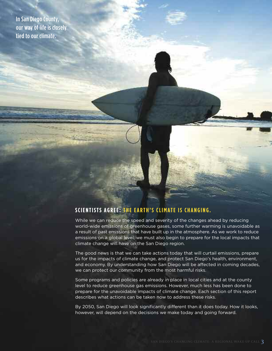In San Diego County, our way of life is closely tied to our climate.

#### **SCIENTISTS AGREE: THE EARTH'S CLIMATE IS CHANGING.**

While we can reduce the speed and severity of the changes ahead by reducing world-wide emissions of greenhouse gases, some further warming is unavoidable as a result of past emissions that have built up in the atmosphere. As we work to reduce emissions on a global level, we must also begin to prepare for the local impacts that climate change will have on the San Diego region.

The good news is that we can take actions today that will curtail emissions, prepare us for the impacts of climate change, and protect San Diego's health, environment, and economy. By understanding how San Diego will be affected in coming decades, we can protect our community from the most harmful risks.

Some programs and policies are already in place in local cities and at the county level to reduce greenhouse gas emissions. However, much less has been done to prepare for the unavoidable impacts of climate change. Each section of this report describes what actions can be taken now to address these risks.

By 2050, San Diego will look significantly different than it does today. How it looks, however, will depend on the decisions we make today and going forward.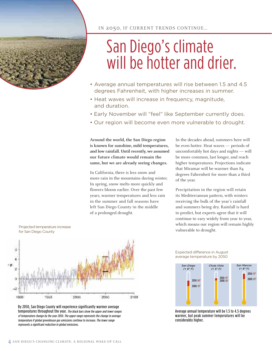

# San Diego's climate will be hotter and drier.

- Average annual temperatures will rise between 1.5 and 4.5 degrees Fahrenheit, with higher increases in summer.
- Heat waves will increase in frequency, magnitude, and duration.
- Early November will "feel" like September currently does.
- Our region will become even more vulnerable to drought.

**Around the world, the San Diego region is known for sunshine, mild temperatures, and low rainfall. Until recently, we assumed our future climate would remain the same, but we are already seeing changes.**

In California, there is less snow and more rain in the mountains during winter. In spring, snow melts more quickly and flowers bloom earlier. Over the past few years, warmer temperatures and less rain in the summer and fall seasons have left San Diego County in the middle of a prolonged drought.

In the decades ahead, summers here will be even hotter. Heat waves — periods of uncomfortably hot days and nights — will be more common, last longer, and reach higher temperatures. Projections indicate that Miramar will be warmer than 84 degrees Fahrenheit for more than a third of the year.

Precipitation in the region will retain its Mediterranean pattern, with winters receiving the bulk of the year's rainfall and summers being dry. Rainfall is hard to predict, but experts agree that it will continue to vary widely from year to year, which means our region will remain highly vulnerable to drought.



Projected temperature increase for San Diego County

By 2050, San Diego County will experience significantly warmer average temperatures throughout the year. The black bars show the upper and lower ranges of temperature change by the year 2050. The upper range represents the change in average temperature if global greenhouse gas emissions continue to increase. The lower range represents <sup>a</sup> significant reduction in global emissions.

Expected difference in August average temperature by 2050



Average annual temperature will be 1.5 to 4.5 degrees warmer, but peak summer temperatures will be considerably higher.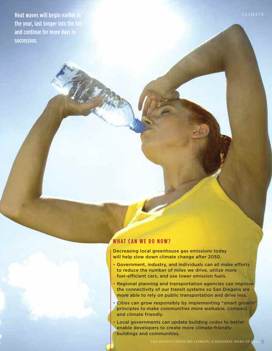Heat waves will begin earlier in the year, last longer into the fall, and continue for more days in succession.

#### **WH AT CA N WE D O N OW?**

**Decreasing local greenhouse gas emissions today will help slow down climate change after 2050.**

- **• Government, industry, and individuals can all make efforts to reduce the number of miles we drive, utilize more fuel-efficient cars, and use lower emission fuels.**
- **• Regional planning and transportation agencies can improve the connectivity of our transit systems so San Diegans are more able to rely on public transportation and drive less.**
- **• Cities can grow responsibly by implementing "smart growth" principles to make communities more walkable, compact, and climate friendly.**
- **• Local governments can update building codes to better enable developers to create more climate-friendly buildings and communities.**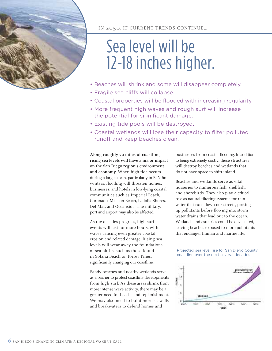

IN 2050, IF CURRENT TRENDS CONTINUE…

# Sea level will be 12-18 inches higher.

- Beaches will shrink and some will disappear completely.
- Fragile sea cliffs will collapse.
- Coastal properties will be flooded with increasing regularity.
- More frequent high waves and rough surf will increase the potential for significant damage.
- Existing tide pools will be destroyed.
- Coastal wetlands will lose their capacity to filter polluted runoff and keep beaches clean.

**Along roughly 70 miles of coastline, rising sea levels will have a major impact on the San Diego region's environment and economy.** When high tide occurs during a large storm, particularly in El Niño winters, flooding will threaten homes, businesses, and hotels in low-lying coastal communities such as Imperial Beach, Coronado, Mission Beach, La Jolla Shores, Del Mar, and Oceanside. The military, port and airport may also be affected.

As the decades progress, high surf events will last for more hours, with waves causing even greater coastal erosion and related damage. Rising sea levels will wear away the foundations of sea bluffs, such as those found in Solana Beach or Torrey Pines, significantly changing our coastline.

Sandy beaches and nearby wetlands serve as a barrier to protect coastline developments from high surf. As these areas shrink from more intense wave activity, there may be a greater need for beach sand replenishment. We may also need to build more seawalls and breakwaters to defend homes and

businesses from coastal flooding. In addition to being extremely costly, these structures will destroy beaches and wetlands that do not have space to shift inland.

Beaches and wetlands serve as vital nurseries to numerous fish, shellfish, and shorebirds. They also play a critical role as natural filtering systems for rain water that runs down our streets, picking up pollutants before flowing into storm water drains that lead out to the ocean. Wetlands and estuaries could be devastated, leaving beaches exposed to more pollutants that endanger human and marine life.

Projected sea level rise for San Diego County coastline over the next several decades

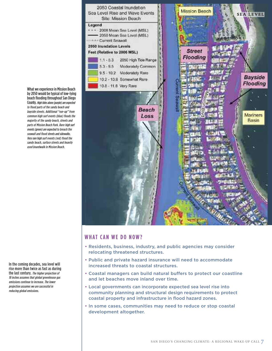

#### **WH AT CA N WE D O N OW?**

- **• Residents, business, industry, and public agencies may consider relocating threatened structures.**
- **• Public and private hazard insurance will need to accommodate increased threats to coastal structures.**
- **• Coastal managers can build natural buffers to protect our coastline and let beaches move inland over time.**
- **• Local governments can incorporate expected sea level rise into community planning and structural design requirements to protect coastal property and infrastructure in flood hazard zones.**
- **• In some cases, communities may need to reduce or stop coastal development altogether.**

What we experience in Mission Beach by 2050 would be typical of low-lying beach flooding throughout San Diego County. High tides alone (purple) are expected to flood parts of the sandy beach and bayside streets. Additional "run-up" from common high surf events (blue) floods the majority of the sandy beach, streets and parts of Mission Beach Park. Rare high surf events (green) are expected to breach the seawall and flood streets and sidewalks. Very rare high surf events (red) flood the sandy beach, surface streets and heavily used boardwalk in Mission Beach.

In the coming decades, sea level will rise more than twice as fast as during the last century. The higher projection of 18 inches assumes that global greenhouse gas emissions continue to increase. The lower projection assumes we are successful in reducing global emissions.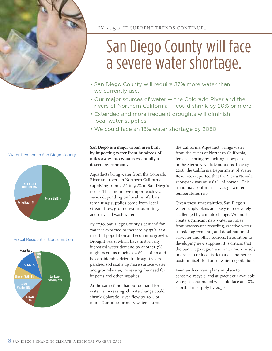

# San Diego County will face a severe water shortage.

- San Diego County will require 37% more water than we currently use.
- Our major sources of water the Colorado River and the rivers of Northern California — could shrink by 20% or more.
- Extended and more frequent droughts will diminish local water supplies.
- We could face an 18% water shortage by 2050.

**San Diego is a major urban area built by importing water from hundreds of miles away into what is essentially a desert environment.**

Aqueducts bring water from the Colorado River and rivers in Northern California, supplying from 75% to 95% of San Diego's needs. The amount we import each year varies depending on local rainfall, as remaining supplies come from local stream flow, ground-water pumping, and recycled wastewater.

By 2050, San Diego County's demand for water is expected to increase by 37% as a result of population and economic growth. Drought years, which have historically increased water demand by another 7%, might occur as much as 50% as often and be considerably drier. In drought years, parched soil soaks up more surface water and groundwater, increasing the need for imports and other supplies.

At the same time that our demand for water is increasing, climate change could shrink Colorado River flow by 20% or more. Our other primary water source,

the California Aqueduct, brings water from the rivers of Northern California, fed each spring by melting snowpack in the Sierra Nevada Mountains. In May 2008, the California Department of Water Resources reported that the Sierra Nevada snowpack was only 67% of normal. This trend may continue as average winter temperatures rise.

Given these uncertainties, San Diego's water supply plans are likely to be severely challenged by climate change. We must create significant new water supplies from wastewater recycling, creative water transfer agreements, and desalination of seawater and other sources. In addition to developing new supplies, it is critical that the San Diego region use water more wisely in order to reduce its demands and better position itself for future water negotiations.

Even with current plans in place to conserve, recycle, and augment our available water, it is estimated we could face an 18% shortfall in supply by 2050.

#### Water Demand in San Diego County



#### Typical Residential Consumption

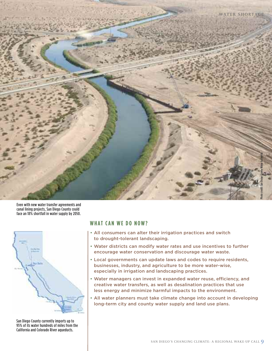

Even with new water transfer agreements and canal lining projects, San Diego County could face an 18% shortfall in water supply by 2050.



San Diego County currently imports up to 95% of its water hundreds of miles from the California and Colorado River aqueducts.

#### **WH AT CA N WE D O N OW?**

- **• All consumers can alter their irrigation practices and switch to drought-tolerant landscaping.**
- **• Water districts can modify water rates and use incentives to further encourage water conservation and discourage water waste.**
- **• Local governments can update laws and codes to require residents, businesses, industry, and agriculture to be more water-wise, especially in irrigation and landscaping practices.**
- **• Water managers can invest in expanded water reuse, efficiency, and creative water transfers, as well as desalination practices that use less energy and minimize harmful impacts to the environment.**
- **• All water planners must take climate change into account in developing long-term city and county water supply and land use plans.**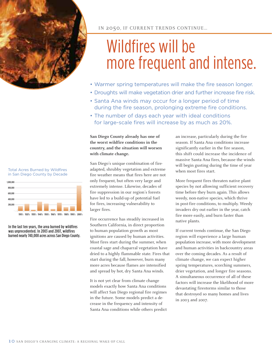

IN 2050, IF CURRENT TRENDS CONTINUE…

# Wildfires will be more frequent and intense.

- Warmer spring temperatures will make the fire season longer.
- Droughts will make vegetation drier and further increase fire risk.
- Santa Ana winds may occur for a longer period of time during the fire season, prolonging extreme fire conditions.
- The number of days each year with ideal conditions for large-scale fires will increase by as much as 20%.

**San Diego County already has one of the worst wildfire conditions in the country, and the situation will worsen with climate change.**

San Diego's unique combination of fireadapted, shrubby vegetation and extreme fire weather means that fires here are not only frequent, but often very large and extremely intense. Likewise, decades of fire suppression in our region's forests have led to a build-up of potential fuel for fires, increasing vulnerability to larger fires.

Fire occurrence has steadily increased in Southern California, in direct proportion to human population growth as most ignitions are caused by human activities. Most fires start during the summer, when coastal sage and chaparral vegetation have dried to a highly flammable state. Fires that start during the fall, however, burn many more acres because flames are intensified and spread by hot, dry Santa Ana winds.

It is not yet clear from climate change models exactly how Santa Ana conditions will affect San Diego regional fire regimes in the future. Some models predict a decrease in the frequency and intensity of Santa Ana conditions while others predict

an increase, particularly during the fire season. If Santa Ana conditions increase significantly earlier in the fire season, this shift could increase the incidence of massive Santa Ana fires, because the winds will begin gusting during the time of year when most fires start.

More frequent fires threaten native plant species by not allowing sufficient recovery time before they burn again. This allows weedy, non-native species, which thrive in post-fire conditions, to multiply. Weedy invaders dry out earlier in the year, catch fire more easily, and burn faster than native plants.

If current trends continue, the San Diego region will experience a large human population increase, with more development and human activities in backcountry areas over the coming decades. As a result of climate change, we can expect higher spring temperatures, scorching summers, drier vegetation, and longer fire seasons. A simultaneous occurrence of all of these factors will increase the likelihood of more devastating firestorms similar to those that destroyed so many homes and lives in 2003 and 2007.

#### Total Acres Burned by Wildfires in San Diego County by Decade



In the last ten years, the area burned by wildfires was unprecedented. In 2003 and 2007, wildfires burned nearly 740,000 acres across San Diego County.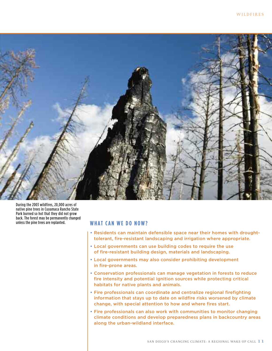

During the 2003 wildfires, 20,000 acres of native pine trees in Cuyamaca Rancho State Park burned so hot that they did not grow back. The forest may be permanently changed unless the pine trees are replanted.

#### **WH AT CA N WE D O N OW?**

- **• Residents can maintain defensible space near their homes with droughttolerant, fire-resistant landscaping and irrigation where appropriate.**
- **• Local governments can use building codes to require the use of fire-resistant building design, materials and landscaping.**
- **• Local governments may also consider prohibiting development in fire-prone areas.**
- **• Conservation professionals can manage vegetation in forests to reduce fire intensity and potential ignition sources while protecting critical habitats for native plants and animals.**
- **• Fire professionals can coordinate and centralize regional firefighting information that stays up to date on wildfire risks worsened by climate change, with special attention to how and where fires start.**
- **• Fire professionals can also work with communities to monitor changing climate conditions and develop preparedness plans in backcountry areas along the urban-wildland interface.**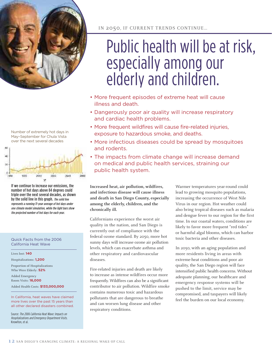



Number of extremely hot days in

If we continue to increase our emissions, the number of hot days above 84 degrees could triple over the next several decades, as shown by the solid line in this graph. The solid line represents <sup>a</sup> running 11-year average of hot days under one climate model simulation, while the light bars show the projected number of hot days for each year.

Quick Facts from the 2006 California Heat Wave

#### Lives lost: **140**

Hospitalizations: **1,200**

Proportion of Hospitalizations Who Were Elderly: **52%**

Added Emergency Room Visits: **16,000**

Added Health Costs: **\$133,000,000**

In California, heat waves have claimed more lives over the past 15 years than all other declared disasters combined.

Source: The <sup>2006</sup> California Heat Wave: Impacts on Hospitalizations and Emergency Department Visits. Knowlton, et al.

IN 2050, IF CURRENT TRENDS CONTINUE…

# Public health will be at risk, especially among our elderly and children.

- More frequent episodes of extreme heat will cause illness and death.
- Dangerously poor air quality will increase respiratory and cardiac health problems.
- More frequent wildfires will cause fire-related injuries, exposure to hazardous smoke, and deaths.
- More infectious diseases could be spread by mosquitoes and rodents.
- The impacts from climate change will increase demand on medical and public health services, straining our public health system.

**Increased heat, air pollution, wildfires, and infectious disease will cause illness and death in San Diego County, especially among the elderly, children, and the chronically ill.**

Californians experience the worst air quality in the nation, and San Diego is currently out of compliance with the federal ozone standard. By 2050, more hot sunny days will increase ozone air pollution levels, which can exacerbate asthma and other respiratory and cardiovascular diseases.

Fire-related injuries and death are likely to increase as intense wildfires occur more frequently. Wildfires can also be a significant contributor to air pollution. Wildfire smoke contains numerous toxic and hazardous pollutants that are dangerous to breathe and can worsen lung disease and other respiratory conditions.

Warmer temperatures year-round could lead to growing mosquito populations, increasing the occurrence of West Nile Virus in our region. Hot weather could also bring tropical diseases such as malaria and dengue fever to our region for the first time. In our coastal waters, conditions are likely to favor more frequent "red tides" or harmful algal blooms, which can harbor toxic bacteria and other diseases.

In 2050, with an aging population and more residents living in areas with extreme-heat conditions and poor air quality, the San Diego region will face intensified public health concerns. Without adequate planning, our healthcare and emergency response systems will be pushed to the limit, service may be compromised, and taxpayers will likely feel the burden on our local economy.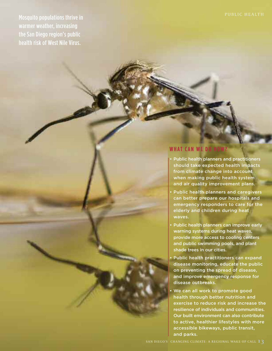**PUBLIC HEALTH** Mosquito populations thrive in warmer weather, increasing the San Diego region's public health risk of West Nile Virus.

#### **WHAT CAN WE DO**

- **• Public health planners and practitioners should take expected health impacts from climate change into account when making public health system and air quality improvement plans.**
- **• Public health planners and caregivers can better prepare our hospitals and emergency responders to care for the elderly and children during heat waves.**
- **• Public health planners can improve early warning systems during heat waves, provide more access to cooling centers and public swimming pools, and plant shade trees in our cities.**
- **• Public health practitioners can expand disease monitoring, educate the public on preventing the spread of disease, and improve emergency response for disease outbreaks.**
- **• We can all work to promote good health through better nutrition and exercise to reduce risk and increase the resilience of individuals and communities. Our built environment can also contribute to active, healthier lifestyles with more accessible bikeways, public transit, and parks.**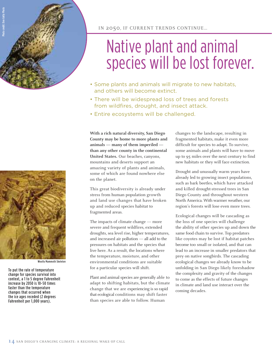

IN 2050, IF CURRENT TRENDS CONTINUE…

# Native plant and animal species will be lost forever.

- Some plants and animals will migrate to new habitats, and others will become extinct.
- There will be widespread loss of trees and forests from wildfires, drought, and insect attack.
- Entire ecosystems will be challenged.

**With a rich natural diversity, San Diego County may be home to more plants and animals — many of them imperiled than any other county in the continental United States.** Our beaches, canyons, mountains and deserts support an amazing variety of plants and animals, some of which are found nowhere else on the planet.

This great biodiversity is already under stress from human population growth and land use changes that have broken up and reduced species habitat to fragmented areas.

The impacts of climate change — more severe and frequent wildfires, extended droughts, sea level rise, higher temperatures, and increased air pollution — all add to the pressures on habitats and the species that live here. As a result, the locations where the temperature, moisture, and other environmental conditions are suitable for a particular species will shift.

Plant and animal species are generally able to adapt to shifting habitats, but the climate change that we are experiencing is so rapid that ecological conditions may shift faster than species are able to follow. Human

changes to the landscape, resulting in fragmented habitats, make it even more difficult for species to adapt. To survive, some animals and plants will have to move up to 95 miles over the next century to find new habitats or they will face extinction.

Drought and unusually warm years have already led to growing insect populations, such as bark beetles, which have attacked and killed drought-stressed trees in San Diego County and throughout western North America. With warmer weather, our region's forests will lose even more trees.

Ecological changes will be cascading as the loss of one species will challenge the ability of other species up and down the same food chain to survive. Top predators like coyotes may be lost if habitat patches become too small or isolated, and that can lead to an increase in smaller predators that prey on native songbirds. The cascading ecological changes we already know to be unfolding in San Diego likely foreshadow the complexity and gravity of the changes to come as the effects of future changes in climate and land use interact over the coming decades.



Woolly Mammoth Skeleton

To put the rate of temperature change for species survival into context, a 1 to 5 degree Fahrenheit increase by 2050 is 10-50 times faster than the temperature changes that occurred when the ice ages receded (2 degrees Fahrenheit per 1,000 years).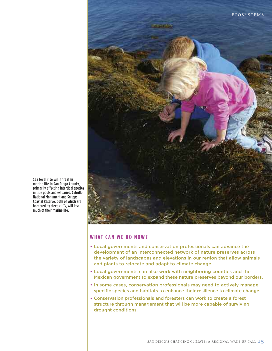

Sea level rise will threaten marine life in San Diego County, primarily affecting intertidal species in tide pools and estuaries. Cabrillo National Monument and Scripps Coastal Reserve, both of which are bordered by steep cliffs, will lose much of their marine life.

#### **WH AT CA N WE D O N OW?**

- **• Local governments and conservation professionals can advance the development of an interconnected network of nature preserves across the variety of landscapes and elevations in our region that allow animals and plants to relocate and adapt to climate change.**
- **• Local governments can also work with neighboring counties and the Mexican government to expand these nature preserves beyond our borders.**
- **• In some cases, conservation professionals may need to actively manage specific species and habitats to enhance their resilience to climate change.**
- **• Conservation professionals and foresters can work to create a forest structure through management that will be more capable of surviving drought conditions.**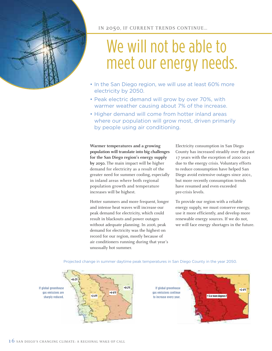

# We will not be able to meet our energy needs.

- In the San Diego region, we will use at least 60% more electricity by 2050.
- Peak electric demand will grow by over 70%, with warmer weather causing about 7% of the increase.
- Higher demand will come from hotter inland areas where our population will grow most, driven primarily by people using air conditioning.

**Warmer temperatures and a growing population will translate into big challenges for the San Diego region's energy supply by 2050.** The main impact will be higher demand for electricity as a result of the greater need for summer cooling, especially in inland areas where both regional population growth and temperature increases will be highest.

Hotter summers and more frequent, longer and intense heat waves will increase our peak demand for electricity, which could result in blackouts and power outages without adequate planning. In 2006, peak demand for electricity was the highest on record for our region, mostly because of air conditioners running during that year's unusually hot summer.

Electricity consumption in San Diego County has increased steadily over the past 17 years with the exception of 2000-2001 due to the energy crisis. Voluntary efforts to reduce consumption have helped San Diego avoid extensive outages since 2001, but more recently consumption trends have resumed and even exceeded pre-crisis levels.

To provide our region with a reliable energy supply, we must conserve energy, use it more efficiently, and develop more renewable energy sources. If we do not, we will face energy shortages in the future.



Projected change in summer daytime peak temperatures in San Diego County in the year 2050.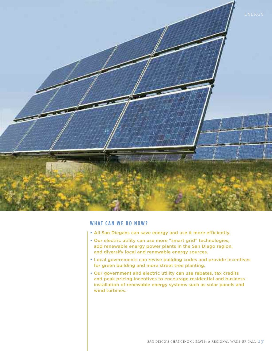

#### **WH AT CA N WE D O N OW?**

- **• All San Diegans can save energy and use it more efficiently.**
- **• Our electric utility can use more "smart grid" technologies, add renewable energy power plants in the San Diego region, and diversify local and renewable energy sources.**
- **• Local governments can revise building codes and provide incentives for green building and more street tree planting.**
- **• Our government and electric utility can use rebates, tax credits and peak pricing incentives to encourage residential and business installation of renewable energy systems such as solar panels and wind turbines.**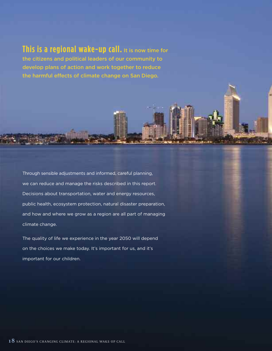#### **This is a regional wake-up call. It is now time for**

**the citizens and political leaders of our community to develop plans of action and work together to reduce the harmful effects of climate change on San Diego.**

Through sensible adjustments and informed, careful planning, we can reduce and manage the risks described in this report. Decisions about transportation, water and energy resources, public health, ecosystem protection, natural disaster preparation, and how and where we grow as a region are all part of managing climate change.

The quality of life we experience in the year 2050 will depend on the choices we make today. It's important for us, and it's important for our children.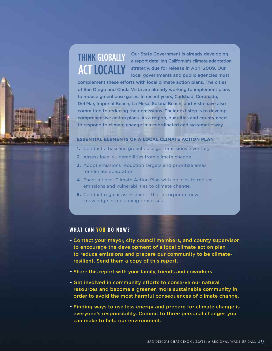### THINK GLOBALLY **ACT LOCALLY**

**Our State Government is already developing a report detailing California's climate adaptation strategy, due for release in April 2009. Our local governments and public agencies must**

**complement these efforts with local climate action plans. The cities of San Diego and Chula Vista are already working to implement plans to reduce greenhouse gases. In recent years, Carlsbad, Coronado, Del Mar, Imperial Beach, La Mesa, Solana Beach, and Vista have also committed to reducing their emissions. Their next step is to develop comprehensive action plans. As a region, our cities and county need to respond to climate change in a coordinated and systematic way.**

#### **ESSENTIAL ELEMENTS OF A LOCAL CLIMATE ACTION PLAN**

- **1.** Conduct a baseline greenhouse gas emissions inventory.
- **2.** Assess local vulnerabilities from climate change.
- **3.** Adopt emissions reduction targets and prioritize areas for climate adaptation.
- **4.** Enact a Local Climate Action Plan with policies to reduce emissions and vulnerabilities to climate change.
- **5.** Conduct regular assessments that incorporate new knowledge into planning processes.

#### **WH AT CA N YO U D O N OW?**

- **• Contact your mayor, city council members, and county supervisor to encourage the development of a local climate action plan to reduce emissions and prepare our community to be climateresilient. Send them a copy of this report.**
- **• Share this report with your family, friends and coworkers.**
- **• Get involved in community efforts to conserve our natural resources and become a greener, more sustainable community in order to avoid the most harmful consequences of climate change.**
- **• Finding ways to use less energy and prepare for climate change is everyone's responsibility. Commit to three personal changes you can make to help our environment.**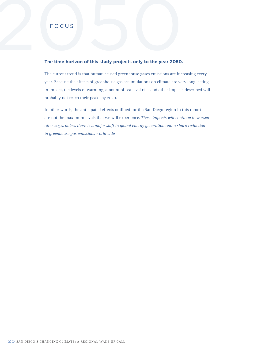# FOCUS

#### **The time horizon of this study projects only to the year 2050.**

The current trend is that human-caused greenhouse gases emissions are increasing every year. Because the effects of greenhouse gas accumulations on climate are very long-lasting in impact, the levels of warming, amount of sea level rise, and other impacts described will probably not reach their peaks by 2050.

In other words, the anticipated effects outlined for the San Diego region in this report are not the maximum levels that we will experience. *These impacts will continue to worsen after 2050, unless there is a major shift in global energy generation and a sharp reduction in greenhouse gas emissions worldwide.*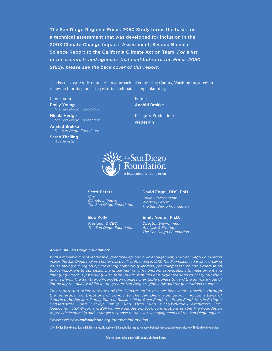**The San Diego Regional Focus 2050 Study forms the basis for a technical assessment that was developed for inclusion in the 2008 Climate Change Impacts Assessment, Second Biennial Science Report to the California Climate Action Team.** *For a list of the scientists and agencies that contibuted to the Focus 2050 Study, please see the back cover of this report.*

The Focus 2050 Study emulates an approach taken by King County, Washington, a region renowned for its pioneering efforts in climate change planning.

#### Contributors:

**Emily Young** *The San Diego Foundation*

**Nicola Hedge** *The San Diego Foundation*

**Anahid Brakke** *The San Diego Foundation*

**Sarah Thailing** *Wordanista*

Editor: **Anahid Brakke**

Design & Production: **viadesign**



#### **Scott Peters**

*Chair, Climate Initiative The San Diego Foundation*

**Bob Kelly**

*President & CEO, The San Diego Foundation*

#### **David Engel, DDS, PhD**

*Chair, Environment Working Group The San Diego Foundation*

#### **Emily Young, Ph.D.**

*Director, Environment Analysis & Strategy The San Diego Foundation*

#### *About The San Diego Foundation:*

*With a dynamic mix of leadership, grantmaking, and civic engagement, The San Diego Foundation makes the San Diego region a better place to live. Founded in 1975, The Foundation addresses evolving issues facing our region by convening community leaders, providing research and expertise on topics important to our citizens, and partnering with nonprofit organizations to meet urgent and changing needs. By working with individuals, families and organizations to carry out their giving plans, The San Diego Foundation utilizes charitable dollars toward the ultimate goal of improving the quality of life in the greater San Diego region, now and for generations to come.*

*This report and other activities of the Climate Initiative have been made possible through the generous contributions of donors to The San Diego Foundation, including Bank of America, the Beyster Family Fund II, Blasker-Miah-Rose Fund, the Engel Fund, Hattie Ettinger Conservation Fund, Hervey Family Fund, Orca Fund, Platt/Whitelaw Architects, Inc., Qualcomm, TSX Group and Zell Family Foundation. Such contributions enable The Foundation to provide leadership and strategic response to the ever-changing needs of the San Diego region.*

*Please visit www.sdfoundation.org for more information.*

©2011 The San Diego Foundation. All rights reserved. No portion of this publication may be reproduced without the express written permission of The San Diego Foundation.